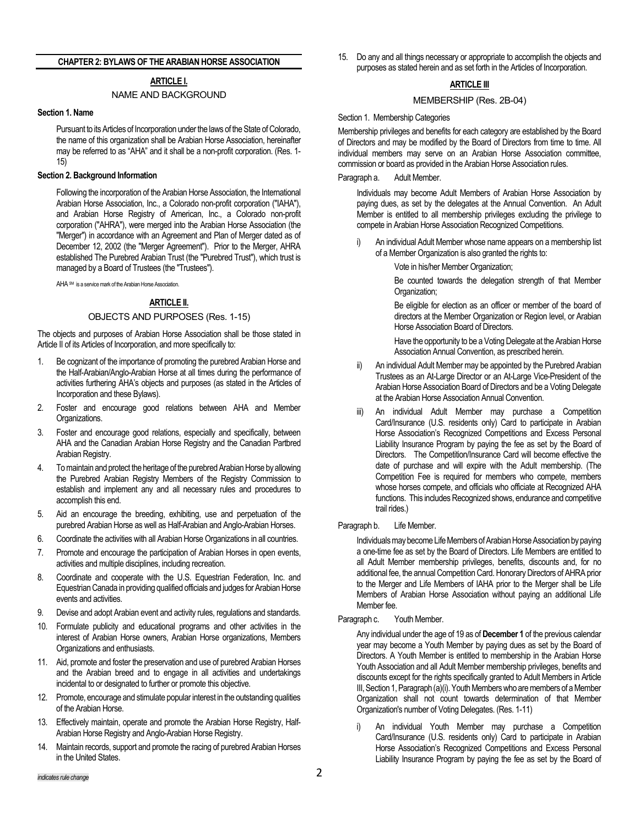### **CHAPTER 2: BYLAWS OF THE ARABIAN HORSE ASSOCIATION**

# **ARTICLE I.**

### NAME AND BACKGROUND

#### **Section 1. Name**

Pursuant to its Articles of Incorporation under the laws of the State of Colorado, the name of this organization shall be Arabian Horse Association, hereinafter may be referred to as "AHA" and it shall be a non-profit corporation. (Res. 1- 15)

#### **Section 2. Background Information**

Following the incorporation of the Arabian Horse Association, the International Arabian Horse Association, Inc., a Colorado non-profit corporation ("IAHA"), and Arabian Horse Registry of American, Inc., a Colorado non-profit corporation ("AHRA"), were merged into the Arabian Horse Association (the "Merger") in accordance with an Agreement and Plan of Merger dated as of December 12, 2002 (the "Merger Agreement"). Prior to the Merger, AHRA established The Purebred Arabian Trust (the "Purebred Trust"), which trust is managed by a Board of Trustees (the "Trustees").

AHA SM is a service mark of the Arabian Horse Association.

### **ARTICLE II.**

### OBJECTS AND PURPOSES (Res. 1-15)

The objects and purposes of Arabian Horse Association shall be those stated in Article II of its Articles of Incorporation, and more specifically to:

- 1. Be cognizant of the importance of promoting the purebred Arabian Horse and the Half-Arabian/Anglo-Arabian Horse at all times during the performance of activities furthering AHA's objects and purposes (as stated in the Articles of Incorporation and these Bylaws).
- 2. Foster and encourage good relations between AHA and Member Organizations.
- 3. Foster and encourage good relations, especially and specifically, between AHA and the Canadian Arabian Horse Registry and the Canadian Partbred Arabian Registry.
- 4. To maintain and protect the heritage of the purebred Arabian Horse by allowing the Purebred Arabian Registry Members of the Registry Commission to establish and implement any and all necessary rules and procedures to accomplish this end.
- 5. Aid an encourage the breeding, exhibiting, use and perpetuation of the purebred Arabian Horse as well as Half-Arabian and Anglo-Arabian Horses.
- 6. Coordinate the activities with all Arabian Horse Organizations in all countries.
- 7. Promote and encourage the participation of Arabian Horses in open events, activities and multiple disciplines, including recreation.
- 8. Coordinate and cooperate with the U.S. Equestrian Federation, Inc. and EquestrianCanada in providing qualified officials and judges for Arabian Horse events and activities.
- 9. Devise and adopt Arabian event and activity rules, regulations and standards.
- 10. Formulate publicity and educational programs and other activities in the interest of Arabian Horse owners, Arabian Horse organizations, Members Organizations and enthusiasts.
- 11. Aid, promote and foster the preservation and use of purebred Arabian Horses and the Arabian breed and to engage in all activities and undertakings incidental to or designated to further or promote this objective.
- 12. Promote, encourage and stimulate popular interest in the outstanding qualities of the Arabian Horse.
- 13. Effectively maintain, operate and promote the Arabian Horse Registry, Half-Arabian Horse Registry and Anglo-Arabian Horse Registry.
- 14. Maintain records, support and promote the racing of purebred Arabian Horses in the United States.

15. Do any and all things necessary or appropriate to accomplish the objects and purposes as stated herein and as set forth in the Articles of Incorporation.

# **ARTICLE III**

### MEMBERSHIP (Res. 2B-04)

### Section 1. Membership Categories

Membership privileges and benefits for each category are established by the Board of Directors and may be modified by the Board of Directors from time to time. All individual members may serve on an Arabian Horse Association committee, commission or board as provided in the Arabian Horse Association rules.

#### Paragraph a. Adult Member.

Individuals may become Adult Members of Arabian Horse Association by paying dues, as set by the delegates at the Annual Convention. An Adult Member is entitled to all membership privileges excluding the privilege to compete in Arabian Horse Association Recognized Competitions.

- An individual Adult Member whose name appears on a membership list of a Member Organization is also granted the rights to:
	- Vote in his/her Member Organization;

Be counted towards the delegation strength of that Member Organization;

Be eligible for election as an officer or member of the board of directors at the Member Organization or Region level, or Arabian Horse Association Board of Directors.

Have the opportunity to be a Voting Delegate at the Arabian Horse Association Annual Convention, as prescribed herein.

- ii) An individual Adult Member may be appointed by the Purebred Arabian Trustees as an At-Large Director or an At-Large Vice-President of the Arabian Horse Association Board of Directors and be a Voting Delegate at the Arabian Horse Association Annual Convention.
- iii) An individual Adult Member may purchase a Competition Card/Insurance (U.S. residents only) Card to participate in Arabian Horse Association's Recognized Competitions and Excess Personal Liability Insurance Program by paying the fee as set by the Board of Directors. The Competition/Insurance Card will become effective the date of purchase and will expire with the Adult membership. (The Competition Fee is required for members who compete, members whose horses compete, and officials who officiate at Recognized AHA functions. This includes Recognized shows, endurance and competitive trail rides.)

#### Paragraph b. Life Member.

Individuals may become Life Members of Arabian Horse Association by paying a one-time fee as set by the Board of Directors. Life Members are entitled to all Adult Member membership privileges, benefits, discounts and, for no additional fee, the annual Competition Card. Honorary Directors of AHRA prior to the Merger and Life Members of IAHA prior to the Merger shall be Life Members of Arabian Horse Association without paying an additional Life Member fee.

Paragraph c. Youth Member.

Any individual under the age of 19 as of **December 1** of the previous calendar year may become a Youth Member by paying dues as set by the Board of Directors. A Youth Member is entitled to membership in the Arabian Horse Youth Association and all Adult Member membership privileges, benefits and discounts except for the rights specifically granted to Adult Members in Article III, Section 1, Paragraph (a)(i). Youth Members who are members of a Member Organization shall not count towards determination of that Member Organization's number of Voting Delegates. (Res. 1-11)

An individual Youth Member may purchase a Competition Card/Insurance (U.S. residents only) Card to participate in Arabian Horse Association's Recognized Competitions and Excess Personal Liability Insurance Program by paying the fee as set by the Board of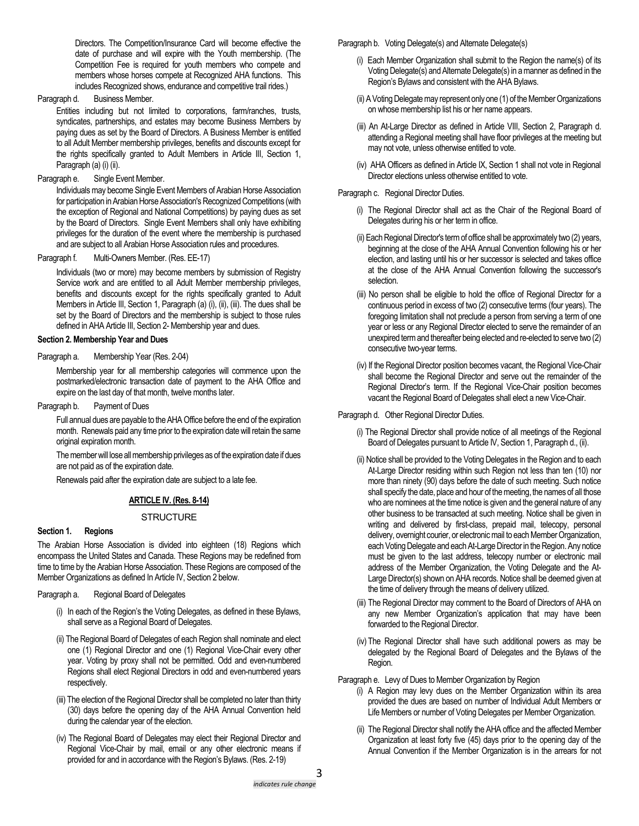Directors. The Competition/Insurance Card will become effective the date of purchase and will expire with the Youth membership. (The Competition Fee is required for youth members who compete and members whose horses compete at Recognized AHA functions. This includes Recognized shows, endurance and competitive trail rides.)

Paragraph d. Business Member.

Entities including but not limited to corporations, farm/ranches, trusts, syndicates, partnerships, and estates may become Business Members by paying dues as set by the Board of Directors. A Business Member is entitled to all Adult Member membership privileges, benefits and discounts except for the rights specifically granted to Adult Members in Article III, Section 1, Paragraph (a) (i) (ii).

### Paragraph e. Single Event Member.

Individuals may become Single Event Members of Arabian Horse Association for participation in Arabian Horse Association's Recognized Competitions (with the exception of Regional and National Competitions) by paying dues as set by the Board of Directors. Single Event Members shall only have exhibiting privileges for the duration of the event where the membership is purchased and are subject to all Arabian Horse Association rules and procedures.

Paragraph f. Multi-Owners Member. (Res. EE-17)

Individuals (two or more) may become members by submission of Registry Service work and are entitled to all Adult Member membership privileges, benefits and discounts except for the rights specifically granted to Adult Members in Article III, Section 1, Paragraph (a) (i), (ii), (iii). The dues shall be set by the Board of Directors and the membership is subject to those rules defined in AHA Article III, Section 2- Membership year and dues.

### **Section 2. Membership Year and Dues**

### Paragraph a. Membership Year (Res. 2-04)

Membership year for all membership categories will commence upon the postmarked/electronic transaction date of payment to the AHA Office and expire on the last day of that month, twelve months later.

Paragraph b. Payment of Dues

Full annual dues are payable to the AHA Office before the end of the expiration month. Renewals paid any time prior to the expiration date will retain the same original expiration month.

The member will lose all membership privileges as of the expiration date if dues are not paid as of the expiration date.

Renewals paid after the expiration date are subject to a late fee.

# **ARTICLE IV. (Res. 8-14)**

# **STRUCTURE**

# **Section 1. Regions**

The Arabian Horse Association is divided into eighteen (18) Regions which encompass the United States and Canada. These Regions may be redefined from time to time by the Arabian Horse Association. These Regions are composed of the Member Organizations as defined In Article IV, Section 2 below.

Paragraph a. Regional Board of Delegates

- (i) In each of the Region's the Voting Delegates, as defined in these Bylaws, shall serve as a Regional Board of Delegates.
- (ii) The Regional Board of Delegates of each Region shall nominate and elect one (1) Regional Director and one (1) Regional Vice-Chair every other year. Voting by proxy shall not be permitted. Odd and even-numbered Regions shall elect Regional Directors in odd and even-numbered years respectively.
- (iii) The election of the Regional Director shall be completed no later than thirty (30) days before the opening day of the AHA Annual Convention held during the calendar year of the election.
- (iv) The Regional Board of Delegates may elect their Regional Director and Regional Vice-Chair by mail, email or any other electronic means if provided for and in accordance with the Region's Bylaws. (Res. 2-19)

Paragraph b. Voting Delegate(s) and Alternate Delegate(s)

- (i) Each Member Organization shall submit to the Region the name(s) of its Voting Delegate(s) and Alternate Delegate(s) in a manner as defined in the Region's Bylaws and consistent with the AHA Bylaws.
- (ii) A Voting Delegate may represent only one (1) of the Member Organizations on whose membership list his or her name appears.
- (iii) An At-Large Director as defined in Article VIII, Section 2, Paragraph d. attending a Regional meeting shall have floor privileges at the meeting but may not vote, unless otherwise entitled to vote.
- (iv) AHA Officers as defined in Article IX, Section 1 shall not vote in Regional Director elections unless otherwise entitled to vote.

Paragraph c. Regional Director Duties.

- (i) The Regional Director shall act as the Chair of the Regional Board of Delegates during his or her term in office.
- (ii) Each Regional Director's term of office shall be approximately two (2) years, beginning at the close of the AHA Annual Convention following his or her election, and lasting until his or her successor is selected and takes office at the close of the AHA Annual Convention following the successor's selection.
- (iii) No person shall be eligible to hold the office of Regional Director for a continuous period in excess of two (2) consecutive terms (four years). The foregoing limitation shall not preclude a person from serving a term of one year or less or any Regional Director elected to serve the remainder of an unexpired term and thereafter being elected and re-elected to serve two (2) consecutive two-year terms.
- (iv) If the Regional Director position becomes vacant, the Regional Vice-Chair shall become the Regional Director and serve out the remainder of the Regional Director's term. If the Regional Vice-Chair position becomes vacant the Regional Board of Delegates shall elect a new Vice-Chair.

### Paragraph d. Other Regional Director Duties.

- (i) The Regional Director shall provide notice of all meetings of the Regional Board of Delegates pursuant to Article IV, Section 1, Paragraph d., (ii).
- (ii) Notice shall be provided to the Voting Delegates in the Region and to each At-Large Director residing within such Region not less than ten (10) nor more than ninety (90) days before the date of such meeting. Such notice shall specify the date, place and hour of the meeting, the names of all those who are nominees at the time notice is given and the general nature of any other business to be transacted at such meeting. Notice shall be given in writing and delivered by first-class, prepaid mail, telecopy, personal delivery, overnight courier, or electronic mail to each Member Organization, each Voting Delegate and each At-Large Director in the Region. Any notice must be given to the last address, telecopy number or electronic mail address of the Member Organization, the Voting Delegate and the At-Large Director(s) shown on AHA records. Notice shall be deemed given at the time of delivery through the means of delivery utilized.
- (iii) The Regional Director may comment to the Board of Directors of AHA on any new Member Organization's application that may have been forwarded to the Regional Director.
- (iv) The Regional Director shall have such additional powers as may be delegated by the Regional Board of Delegates and the Bylaws of the Region.

Paragraph e. Levy of Dues to Member Organization by Region

- (i) A Region may levy dues on the Member Organization within its area provided the dues are based on number of Individual Adult Members or Life Members or number of Voting Delegates per Member Organization.
- (ii) The Regional Director shall notify the AHA office and the affected Member Organization at least forty five (45) days prior to the opening day of the Annual Convention if the Member Organization is in the arrears for not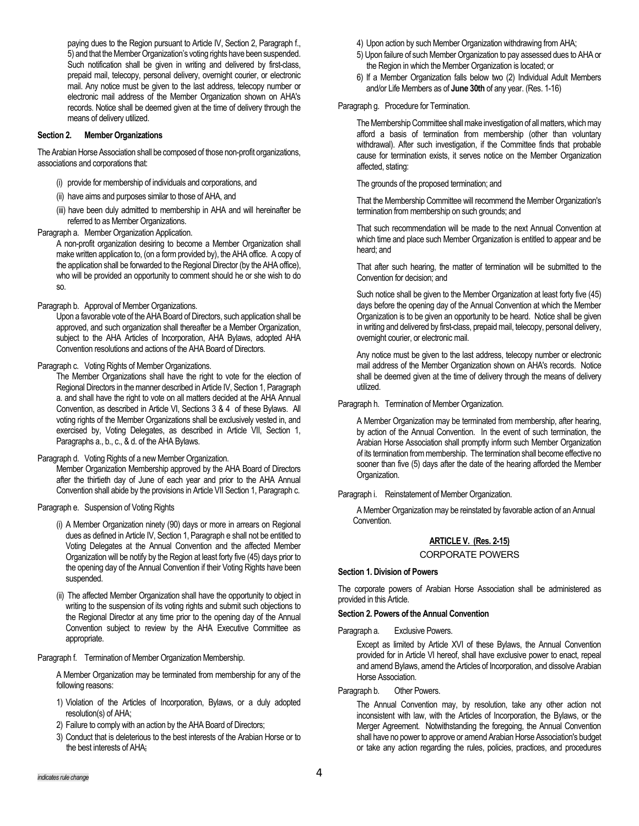paying dues to the Region pursuant to Article IV, Section 2, Paragraph f., 5) and that the Member Organization's voting rights have been suspended. Such notification shall be given in writing and delivered by first-class, prepaid mail, telecopy, personal delivery, overnight courier, or electronic mail. Any notice must be given to the last address, telecopy number or electronic mail address of the Member Organization shown on AHA's records. Notice shall be deemed given at the time of delivery through the means of delivery utilized.

### **Section 2. Member Organizations**

The Arabian Horse Association shall be composed of those non-profit organizations, associations and corporations that:

- (i) provide for membership of individuals and corporations, and
- (ii) have aims and purposes similar to those of AHA, and
- (iii) have been duly admitted to membership in AHA and will hereinafter be referred to as Member Organizations.

Paragraph a. Member Organization Application.

A non-profit organization desiring to become a Member Organization shall make written application to, (on a form provided by), the AHA office. A copy of the application shall be forwarded to the Regional Director (by the AHA office), who will be provided an opportunity to comment should he or she wish to do so.

Paragraph b. Approval of Member Organizations.

Upon a favorable vote of the AHA Board of Directors, such application shall be approved, and such organization shall thereafter be a Member Organization, subject to the AHA Articles of Incorporation, AHA Bylaws, adopted AHA Convention resolutions and actions of the AHA Board of Directors.

Paragraph c. Voting Rights of Member Organizations.

The Member Organizations shall have the right to vote for the election of Regional Directors in the manner described in Article IV, Section 1, Paragraph a. and shall have the right to vote on all matters decided at the AHA Annual Convention, as described in Article VI, Sections 3 & 4 of these Bylaws. All voting rights of the Member Organizations shall be exclusively vested in, and exercised by, Voting Delegates, as described in Article VII, Section 1, Paragraphs a., b., c., & d. of the AHA Bylaws.

Paragraph d. Voting Rights of a new Member Organization.

Member Organization Membership approved by the AHA Board of Directors after the thirtieth day of June of each year and prior to the AHA Annual Convention shall abide by the provisions in Article VII Section 1, Paragraph c.

Paragraph e. Suspension of Voting Rights

- (i) A Member Organization ninety (90) days or more in arrears on Regional dues as defined in Article IV, Section 1, Paragraph e shall not be entitled to Voting Delegates at the Annual Convention and the affected Member Organization will be notify by the Region at least forty five (45) days prior to the opening day of the Annual Convention if their Voting Rights have been suspended.
- (ii) The affected Member Organization shall have the opportunity to object in writing to the suspension of its voting rights and submit such objections to the Regional Director at any time prior to the opening day of the Annual Convention subject to review by the AHA Executive Committee as appropriate.

Paragraph f. Termination of Member Organization Membership.

A Member Organization may be terminated from membership for any of the following reasons:

- 1) Violation of the Articles of Incorporation, Bylaws, or a duly adopted resolution(s) of AHA;
- 2) Failure to comply with an action by the AHA Board of Directors;
- 3) Conduct that is deleterious to the best interests of the Arabian Horse or to the best interests of AHA;
- 4) Upon action by such Member Organization withdrawing from AHA;
- 5) Upon failure of such Member Organization to pay assessed dues to AHA or the Region in which the Member Organization is located; or
- 6) If a Member Organization falls below two (2) Individual Adult Members and/or Life Members as of **June 30th** of any year. (Res. 1-16)

Paragraph g. Procedure for Termination.

The Membership Committee shall make investigation of all matters, which may afford a basis of termination from membership (other than voluntary withdrawal). After such investigation, if the Committee finds that probable cause for termination exists, it serves notice on the Member Organization affected, stating:

The grounds of the proposed termination; and

That the Membership Committee will recommend the Member Organization's termination from membership on such grounds; and

That such recommendation will be made to the next Annual Convention at which time and place such Member Organization is entitled to appear and be heard; and

That after such hearing, the matter of termination will be submitted to the Convention for decision; and

Such notice shall be given to the Member Organization at least forty five (45) days before the opening day of the Annual Convention at which the Member Organization is to be given an opportunity to be heard. Notice shall be given in writing and delivered by first-class, prepaid mail, telecopy, personal delivery, overnight courier, or electronic mail.

Any notice must be given to the last address, telecopy number or electronic mail address of the Member Organization shown on AHA's records. Notice shall be deemed given at the time of delivery through the means of delivery utilized.

Paragraph h. Termination of Member Organization.

A Member Organization may be terminated from membership, after hearing, by action of the Annual Convention. In the event of such termination, the Arabian Horse Association shall promptly inform such Member Organization of its termination from membership. The termination shall become effective no sooner than five (5) days after the date of the hearing afforded the Member Organization.

Paragraph i. Reinstatement of Member Organization.

A Member Organization may be reinstated by favorable action of an Annual Convention.

# **ARTICLE V. (Res. 2-15)**

CORPORATE POWERS

# **Section 1. Division of Powers**

The corporate powers of Arabian Horse Association shall be administered as provided in this Article.

# **Section 2. Powers of the Annual Convention**

Paragraph a. Exclusive Powers.

Except as limited by Article XVI of these Bylaws, the Annual Convention provided for in Article VI hereof, shall have exclusive power to enact, repeal and amend Bylaws, amend the Articles of Incorporation, and dissolve Arabian Horse Association.

# Paragraph b. Other Powers.

The Annual Convention may, by resolution, take any other action not inconsistent with law, with the Articles of Incorporation, the Bylaws, or the Merger Agreement. Notwithstanding the foregoing, the Annual Convention shall have no power to approve or amend Arabian Horse Association's budget or take any action regarding the rules, policies, practices, and procedures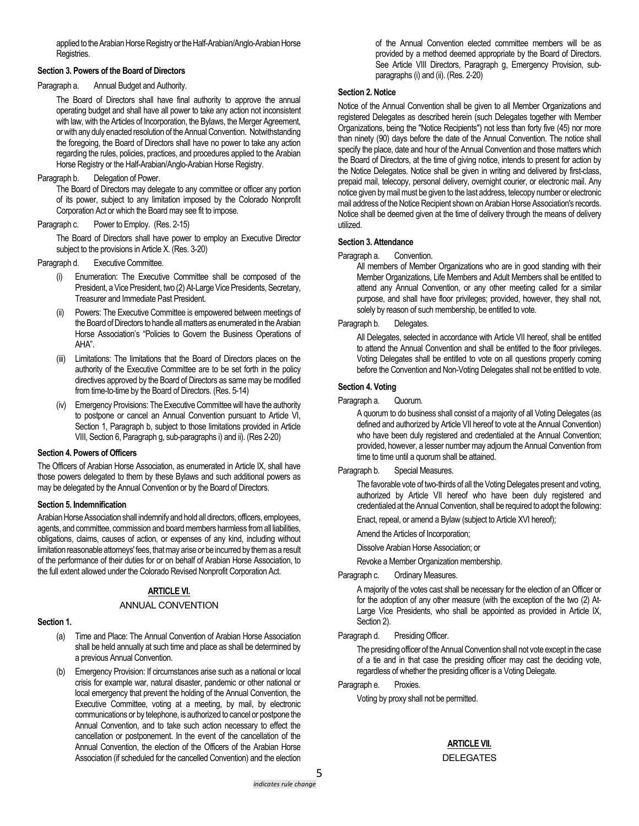applied to the Arabian Horse Registry or the Half-Arabian/Anglo-Arabian Horse Registries.

### **Section 3. Powers of the Board of Directors**

Paragraph a. Annual Budget and Authority.

The Board of Directors shall have final authority to approve the annual operating budget and shall have all power to take any action not inconsistent with law, with the Articles of Incorporation, the Bylaws, the Merger Agreement, or with any duly enacted resolution of the Annual Convention. Notwithstanding the foregoing, the Board of Directors shall have no power to take any action regarding the rules, policies, practices, and procedures applied to the Arabian Horse Registry or the Half-Arabian/Anglo-Arabian Horse Registry.

### Paragraph b. Delegation of Power.

The Board of Directors may delegate to any committee or officer any portion of its power, subject to any limitation imposed by the Colorado Nonprofit Corporation Act or which the Board may see fit to impose.

Paragraph c. Power to Employ. (Res. 2-15)

The Board of Directors shall have power to employ an Executive Director subject to the provisions in Article X. (Res. 3-20)

- Paragraph d. Executive Committee.
	- (i) Enumeration: The Executive Committee shall be composed of the President, a Vice President, two (2) At-Large Vice Presidents, Secretary, Treasurer and Immediate Past President.
	- Powers: The Executive Committee is empowered between meetings of the Board of Directors to handle all matters as enumerated in the Arabian Horse Association's "Policies to Govern the Business Operations of AHA".
	- (iii) Limitations: The limitations that the Board of Directors places on the authority of the Executive Committee are to be set forth in the policy directives approved by the Board of Directors as same may be modified from time-to-time by the Board of Directors. (Res. 5-14)
	- (iv) Emergency Provisions: The Executive Committee will have the authority to postpone or cancel an Annual Convention pursuant to Article VI, Section 1, Paragraph b, subject to those limitations provided in Article VIII, Section 6, Paragraph g, sub-paragraphs i) and ii). (Res 2-20)

### **Section 4. Powers of Officers**

The Officers of Arabian Horse Association, as enumerated in Article IX, shall have those powers delegated to them by these Bylaws and such additional powers as may be delegated by the Annual Convention or by the Board of Directors.

### **Section 5. Indemnification**

Arabian Horse Association shall indemnify and hold all directors, officers, employees, agents, and committee, commission and board members harmless from all liabilities, obligations, claims, causes of action, or expenses of any kind, including without limitation reasonable attorneys' fees, that may arise or be incurred by them as a result of the performance of their duties for or on behalf of Arabian Horse Association, to the full extent allowed under the Colorado Revised Nonprofit Corporation Act.

# **ARTICLE VI.**

# ANNUAL CONVENTION

### **Section 1.**

- (a) Time and Place: The Annual Convention of Arabian Horse Association shall be held annually at such time and place as shall be determined by a previous Annual Convention.
- (b) Emergency Provision: If circumstances arise such as a national or local crisis for example war, natural disaster, pandemic or other national or local emergency that prevent the holding of the Annual Convention, the Executive Committee, voting at a meeting, by mail, by electronic communications or by telephone, is authorized to cancel or postpone the Annual Convention, and to take such action necessary to effect the cancellation or postponement. In the event of the cancellation of the Annual Convention, the election of the Officers of the Arabian Horse Association (if scheduled for the cancelled Convention) and the election

of the Annual Convention elected committee members will be as provided by a method deemed appropriate by the Board of Directors. See Article VIII Directors, Paragraph g, Emergency Provision, subparagraphs (i) and (ii). (Res. 2-20)

# **Section 2. Notice**

Notice of the Annual Convention shall be given to all Member Organizations and registered Delegates as described herein (such Delegates together with Member Organizations, being the "Notice Recipients") not less than forty five (45) nor more than ninety (90) days before the date of the Annual Convention. The notice shall specify the place, date and hour of the Annual Convention and those matters which the Board of Directors, at the time of giving notice, intends to present for action by the Notice Delegates. Notice shall be given in writing and delivered by first-class, prepaid mail, telecopy, personal delivery, overnight courier, or electronic mail. Any notice given by mail must be given to the last address, telecopy number or electronic mail address of the Notice Recipient shown on Arabian Horse Association's records. Notice shall be deemed given at the time of delivery through the means of delivery utilized.

### **Section 3. Attendance**

Paragraph a. Convention.

All members of Member Organizations who are in good standing with their Member Organizations, Life Members and Adult Members shall be entitled to attend any Annual Convention, or any other meeting called for a similar purpose, and shall have floor privileges; provided, however, they shall not, solely by reason of such membership, be entitled to vote.

Paragraph b. Delegates.

All Delegates, selected in accordance with Article VII hereof, shall be entitled to attend the Annual Convention and shall be entitled to the floor privileges. Voting Delegates shall be entitled to vote on all questions properly coming before the Convention and Non-Voting Delegates shall not be entitled to vote.

### **Section 4. Voting**

Paragraph a. Quorum.

A quorum to do business shall consist of a majority of all Voting Delegates (as defined and authorized by Article VII hereof to vote at the Annual Convention) who have been duly registered and credentialed at the Annual Convention; provided, however, a lesser number may adjourn the Annual Convention from time to time until a quorum shall be attained.

Paragraph b. Special Measures.

The favorable vote of two-thirds of all the Voting Delegates present and voting, authorized by Article VII hereof who have been duly registered and credentialed at the Annual Convention, shall be required to adopt the following:

Enact, repeal, or amend a Bylaw (subject to Article XVI hereof);

- Amend the Articles of Incorporation;
- Dissolve Arabian Horse Association; or

Revoke a Member Organization membership.

Paragraph c. Ordinary Measures.

A majority of the votes cast shall be necessary for the election of an Officer or for the adoption of any other measure (with the exception of the two (2) At-Large Vice Presidents, who shall be appointed as provided in Article IX, Section 2).

### Paragraph d. Presiding Officer.

The presiding officer of the Annual Convention shall not vote except in the case of a tie and in that case the presiding officer may cast the deciding vote, regardless of whether the presiding officer is a Voting Delegate.

Paragraph e. Proxies.

Voting by proxy shall not be permitted.

# **ARTICLE VII.**

DELEGATES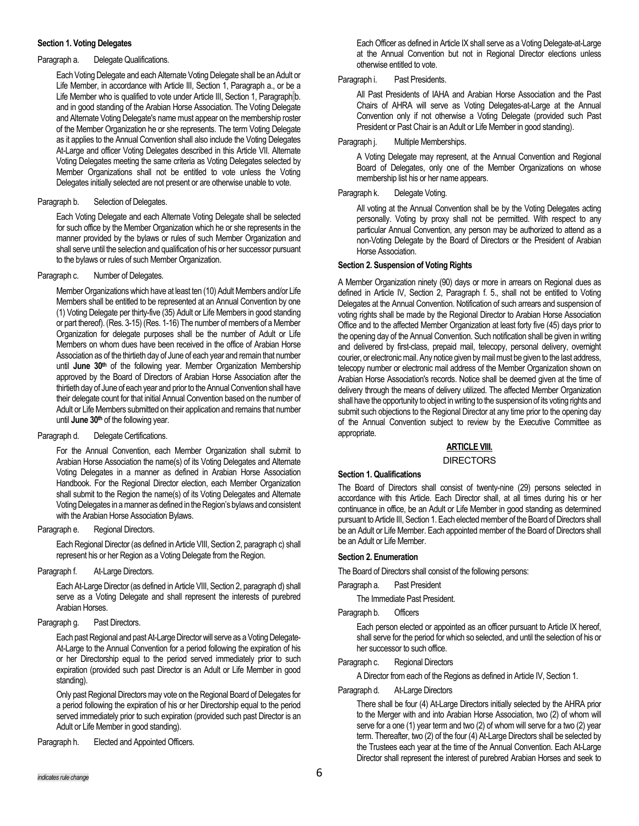### **Section 1. Voting Delegates**

# Paragraph a. Delegate Qualifications.

Each Voting Delegate and each Alternate Voting Delegate shall be an Adult or Life Member, in accordance with Article III, Section 1, Paragraph a., or be a Life Member who is qualified to vote under Article III, Section 1, Paragraph b. and in good standing of the Arabian Horse Association. The Voting Delegate and Alternate Voting Delegate's name must appear on the membership roster of the Member Organization he or she represents. The term Voting Delegate as it applies to the Annual Convention shall also include the Voting Delegates At-Large and officer Voting Delegates described in this Article VII. Alternate Voting Delegates meeting the same criteria as Voting Delegates selected by Member Organizations shall not be entitled to vote unless the Voting Delegates initially selected are not present or are otherwise unable to vote.

# Paragraph b. Selection of Delegates.

Each Voting Delegate and each Alternate Voting Delegate shall be selected for such office by the Member Organization which he or she represents in the manner provided by the bylaws or rules of such Member Organization and shall serve until the selection and qualification of his or her successor pursuant to the bylaws or rules of such Member Organization.

# Paragraph c. Number of Delegates.

Member Organizations which have at least ten (10) Adult Members and/or Life Members shall be entitled to be represented at an Annual Convention by one (1) Voting Delegate per thirty-five (35) Adult or Life Members in good standing or part thereof). (Res. 3-15) (Res. 1-16) The number of members of a Member Organization for delegate purposes shall be the number of Adult or Life Members on whom dues have been received in the office of Arabian Horse Association as of the thirtieth day of June of each year and remain that number until **June 30th** of the following year. Member Organization Membership approved by the Board of Directors of Arabian Horse Association after the thirtieth day of June of each year and prior to the Annual Convention shall have their delegate count for that initial Annual Convention based on the number of Adult or Life Members submitted on their application and remains that number until **June 30th** of the following year.

# Paragraph d. Delegate Certifications.

For the Annual Convention, each Member Organization shall submit to Arabian Horse Association the name(s) of its Voting Delegates and Alternate Voting Delegates in a manner as defined in Arabian Horse Association Handbook. For the Regional Director election, each Member Organization shall submit to the Region the name(s) of its Voting Delegates and Alternate Voting Delegates in a manner as defined in the Region's bylaws and consistent with the Arabian Horse Association Bylaws.

Paragraph e. Regional Directors.

Each Regional Director (as defined in Article VIII, Section 2, paragraph c) shall represent his or her Region as a Voting Delegate from the Region.

Paragraph f. At-Large Directors.

Each At-Large Director (as defined in Article VIII, Section 2, paragraph d) shall serve as a Voting Delegate and shall represent the interests of purebred Arabian Horses.

# Paragraph g. Past Directors.

Each past Regional and past At-Large Director will serve as a Voting Delegate-At-Large to the Annual Convention for a period following the expiration of his or her Directorship equal to the period served immediately prior to such expiration (provided such past Director is an Adult or Life Member in good standing).

Only past Regional Directors may vote on the Regional Board of Delegates for a period following the expiration of his or her Directorship equal to the period served immediately prior to such expiration (provided such past Director is an Adult or Life Member in good standing).

Paragraph h. Elected and Appointed Officers.

Each Officer as defined in Article IX shall serve as a Voting Delegate-at-Large at the Annual Convention but not in Regional Director elections unless otherwise entitled to vote.

# Paragraph i. Past Presidents.

All Past Presidents of IAHA and Arabian Horse Association and the Past Chairs of AHRA will serve as Voting Delegates-at-Large at the Annual Convention only if not otherwise a Voting Delegate (provided such Past President or Past Chair is an Adult or Life Member in good standing).

# Paragraph j. Multiple Memberships.

A Voting Delegate may represent, at the Annual Convention and Regional Board of Delegates, only one of the Member Organizations on whose membership list his or her name appears.

# Paragraph k. Delegate Voting.

All voting at the Annual Convention shall be by the Voting Delegates acting personally. Voting by proxy shall not be permitted. With respect to any particular Annual Convention, any person may be authorized to attend as a non-Voting Delegate by the Board of Directors or the President of Arabian Horse Association.

# **Section 2. Suspension of Voting Rights**

A Member Organization ninety (90) days or more in arrears on Regional dues as defined in Article IV, Section 2, Paragraph f. 5., shall not be entitled to Voting Delegates at the Annual Convention. Notification of such arrears and suspension of voting rights shall be made by the Regional Director to Arabian Horse Association Office and to the affected Member Organization at least forty five (45) days prior to the opening day of the Annual Convention. Such notification shall be given in writing and delivered by first-class, prepaid mail, telecopy, personal delivery, overnight courier, or electronic mail. Any notice given by mail must be given to the last address, telecopy number or electronic mail address of the Member Organization shown on Arabian Horse Association's records. Notice shall be deemed given at the time of delivery through the means of delivery utilized. The affected Member Organization shall have the opportunity to object in writing to the suspension of its voting rights and submit such objections to the Regional Director at any time prior to the opening day of the Annual Convention subject to review by the Executive Committee as appropriate.

# **ARTICLE VIII.**

### DIRECTORS

# **Section 1. Qualifications**

The Board of Directors shall consist of twenty-nine (29) persons selected in accordance with this Article. Each Director shall, at all times during his or her continuance in office, be an Adult or Life Member in good standing as determined pursuant to Article III, Section 1. Each elected member of the Board of Directors shall be an Adult or Life Member. Each appointed member of the Board of Directors shall be an Adult or Life Member.

# **Section 2. Enumeration**

The Board of Directors shall consist of the following persons:

Paragraph a. Past President

The Immediate Past President.

Paragraph b. Officers

Each person elected or appointed as an officer pursuant to Article IX hereof, shall serve for the period for which so selected, and until the selection of his or her successor to such office.

# Paragraph c. Regional Directors

A Director from each of the Regions as defined in Article IV, Section 1.

# Paragraph d. At-Large Directors

There shall be four (4) At-Large Directors initially selected by the AHRA prior to the Merger with and into Arabian Horse Association, two (2) of whom will serve for a one (1) year term and two (2) of whom will serve for a two (2) year term. Thereafter, two (2) of the four (4) At-Large Directors shall be selected by the Trustees each year at the time of the Annual Convention. Each At-Large Director shall represent the interest of purebred Arabian Horses and seek to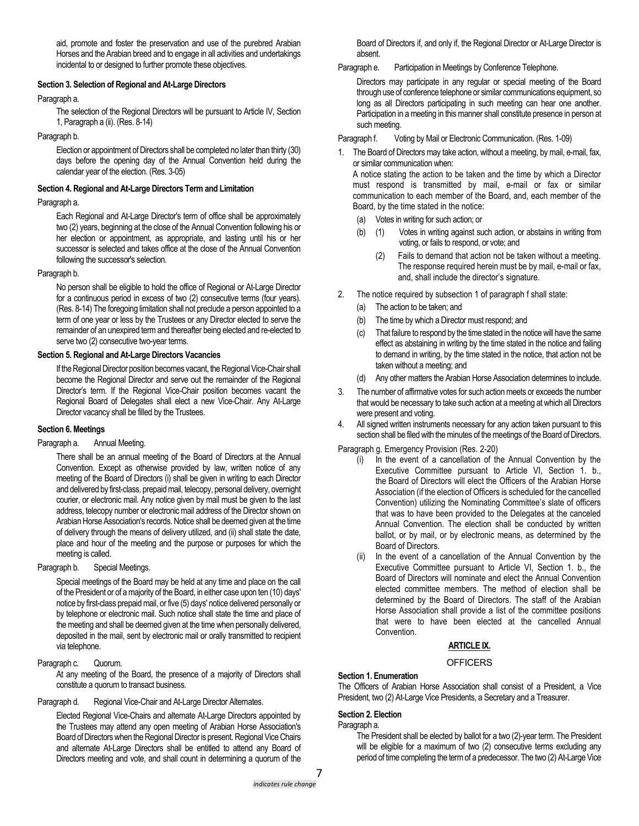aid, promote and foster the preservation and use of the purebred Arabian Horses and the Arabian breed and to engage in all activities and undertakings incidental to or designed to further promote these objectives.

# **Section 3. Selection of Regional and At-Large Directors**

### Paragraph a.

The selection of the Regional Directors will be pursuant to Article IV, Section 1, Paragraph a (ii). (Res. 8-14)

### Paragraph b.

Election or appointment of Directors shall be completed no later than thirty (30) days before the opening day of the Annual Convention held during the calendar year of the election. (Res. 3-05)

### **Section 4. Regional and At-Large Directors Term and Limitation**

### Paragraph a.

Each Regional and At-Large Director's term of office shall be approximately two (2) years, beginning at the close of the Annual Convention following his or her election or appointment, as appropriate, and lasting until his or her successor is selected and takes office at the close of the Annual Convention following the successor's selection.

### Paragraph b.

No person shall be eligible to hold the office of Regional or At-Large Director for a continuous period in excess of two (2) consecutive terms (four years). (Res. 8-14) The foregoing limitation shall not preclude a person appointed to a term of one year or less by the Trustees or any Director elected to serve the remainder of an unexpired term and thereafter being elected and re-elected to serve two (2) consecutive two-year terms.

### **Section 5. Regional and At-Large Directors Vacancies**

If the Regional Director position becomes vacant, the Regional Vice-Chair shall become the Regional Director and serve out the remainder of the Regional Director's term. If the Regional Vice-Chair position becomes vacant the Regional Board of Delegates shall elect a new Vice-Chair. Any At-Large Director vacancy shall be filled by the Trustees.

# **Section 6. Meetings**

### Paragraph a. Annual Meeting.

There shall be an annual meeting of the Board of Directors at the Annual Convention. Except as otherwise provided by law, written notice of any meeting of the Board of Directors (i) shall be given in writing to each Director and delivered by first-class, prepaid mail, telecopy, personal delivery, overnight courier, or electronic mail. Any notice given by mail must be given to the last address, telecopy number or electronic mail address of the Director shown on Arabian Horse Association's records. Notice shall be deemed given at the time of delivery through the means of delivery utilized, and (ii) shall state the date, place and hour of the meeting and the purpose or purposes for which the meeting is called.

Paragraph b. Special Meetings.

Special meetings of the Board may be held at any time and place on the call of the President or of a majority of the Board, in either case upon ten (10) days' notice by first-class prepaid mail, or five (5) days' notice delivered personally or by telephone or electronic mail. Such notice shall state the time and place of the meeting and shall be deemed given at the time when personally delivered, deposited in the mail, sent by electronic mail or orally transmitted to recipient via telephone.

# Paragraph c. Quorum.

At any meeting of the Board, the presence of a majority of Directors shall constitute a quorum to transact business.

Paragraph d. Regional Vice-Chair and At-Large Director Alternates.

Elected Regional Vice-Chairs and alternate At-Large Directors appointed by the Trustees may attend any open meeting of Arabian Horse Association's Board of Directors when the Regional Director is present. Regional Vice Chairs and alternate At-Large Directors shall be entitled to attend any Board of Directors meeting and vote, and shall count in determining a quorum of the

Board of Directors if, and only if, the Regional Director or At-Large Director is absent.

Paragraph e. Participation in Meetings by Conference Telephone.

Directors may participate in any regular or special meeting of the Board through use of conference telephone or similar communications equipment, so long as all Directors participating in such meeting can hear one another. Participation in a meeting in this manner shall constitute presence in person at such meeting.

Paragraph f. Voting by Mail or Electronic Communication. (Res. 1-09)

1. The Board of Directors may take action, without a meeting, by mail, e-mail, fax, or similar communication when:

A notice stating the action to be taken and the time by which a Director must respond is transmitted by mail, e-mail or fax or similar communication to each member of the Board, and, each member of the Board, by the time stated in the notice:

- (a) Votes in writing for such action; or
- (b) (1) Votes in writing against such action, or abstains in writing from voting, or fails to respond, or vote; and
	- (2) Fails to demand that action not be taken without a meeting. The response required herein must be by mail, e-mail or fax, and, shall include the director's signature.
- 2. The notice required by subsection 1 of paragraph f shall state:
	- (a) The action to be taken; and
	- (b) The time by which a Director must respond; and
	- (c) That failure to respond by the time stated in the notice will have the same effect as abstaining in writing by the time stated in the notice and failing to demand in writing, by the time stated in the notice, that action not be taken without a meeting; and
	- (d) Any other matters the Arabian Horse Association determines to include.
- 3. The number of affirmative votes for such action meets or exceeds the number that would be necessary to take such action at a meeting at which all Directors were present and voting.
- 4. All signed written instruments necessary for any action taken pursuant to this section shall be filed with the minutes of the meetings of the Board of Directors.

Paragraph g. Emergency Provision (Res. 2-20)

- (i) In the event of a cancellation of the Annual Convention by the Executive Committee pursuant to Article VI, Section 1. b., the Board of Directors will elect the Officers of the Arabian Horse Association (if the election of Officers is scheduled for the cancelled Convention) utilizing the Nominating Committee's slate of officers that was to have been provided to the Delegates at the canceled Annual Convention. The election shall be conducted by written ballot, or by mail, or by electronic means, as determined by the Board of Directors.
- (ii) In the event of a cancellation of the Annual Convention by the Executive Committee pursuant to Article VI, Section 1. b., the Board of Directors will nominate and elect the Annual Convention elected committee members. The method of election shall be determined by the Board of Directors. The staff of the Arabian Horse Association shall provide a list of the committee positions that were to have been elected at the cancelled Annual Convention.

# **ARTICLE IX.**

# **OFFICERS**

# **Section 1. Enumeration**

The Officers of Arabian Horse Association shall consist of a President, a Vice President, two (2) At-Large Vice Presidents, a Secretary and a Treasurer.

# **Section 2. Election**

Paragraph a.

The President shall be elected by ballot for a two (2)-year term. The President will be eligible for a maximum of two (2) consecutive terms excluding any period of time completing the term of a predecessor. The two (2) At-Large Vice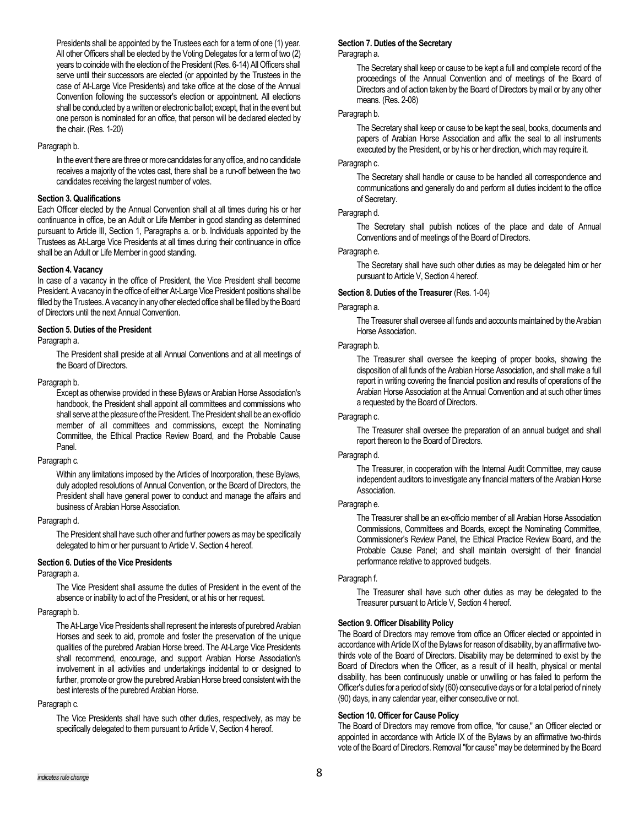Presidents shall be appointed by the Trustees each for a term of one (1) year. All other Officers shall be elected by the Voting Delegates for a term of two (2) years to coincide with the election of the President (Res. 6-14) All Officers shall serve until their successors are elected (or appointed by the Trustees in the case of At-Large Vice Presidents) and take office at the close of the Annual Convention following the successor's election or appointment. All elections shall be conducted by a written or electronic ballot; except, that in the event but one person is nominated for an office, that person will be declared elected by the chair. (Res. 1-20)

### Paragraph b.

In the event there are three or more candidates for any office, and no candidate receives a majority of the votes cast, there shall be a run-off between the two candidates receiving the largest number of votes.

# **Section 3. Qualifications**

Each Officer elected by the Annual Convention shall at all times during his or her continuance in office, be an Adult or Life Member in good standing as determined pursuant to Article III, Section 1, Paragraphs a. or b. Individuals appointed by the Trustees as At-Large Vice Presidents at all times during their continuance in office shall be an Adult or Life Member in good standing.

# **Section 4. Vacancy**

In case of a vacancy in the office of President, the Vice President shall become President. A vacancy in the office of either At-Large Vice President positions shall be filled by the Trustees. A vacancy in any other elected office shall be filled by the Board of Directors until the next Annual Convention.

# **Section 5. Duties of the President**

#### Paragraph a.

The President shall preside at all Annual Conventions and at all meetings of the Board of Directors.

### Paragraph b.

Except as otherwise provided in these Bylaws or Arabian Horse Association's handbook, the President shall appoint all committees and commissions who shall serve at the pleasure of the President. The President shall be an ex-officio member of all committees and commissions, except the Nominating Committee, the Ethical Practice Review Board, and the Probable Cause Panel.

### Paragraph c.

Within any limitations imposed by the Articles of Incorporation, these Bylaws, duly adopted resolutions of Annual Convention, or the Board of Directors, the President shall have general power to conduct and manage the affairs and business of Arabian Horse Association.

### Paragraph d.

The President shall have such other and further powers as may be specifically delegated to him or her pursuant to Article V. Section 4 hereof.

# **Section 6. Duties of the Vice Presidents**

# Paragraph a.

The Vice President shall assume the duties of President in the event of the absence or inability to act of the President, or at his or her request.

# Paragraph b.

The At-Large Vice Presidents shall represent the interests of purebred Arabian Horses and seek to aid, promote and foster the preservation of the unique qualities of the purebred Arabian Horse breed. The At-Large Vice Presidents shall recommend, encourage, and support Arabian Horse Association's involvement in all activities and undertakings incidental to or designed to further, promote or grow the purebred Arabian Horse breed consistent with the best interests of the purebred Arabian Horse.

### Paragraph c.

The Vice Presidents shall have such other duties, respectively, as may be specifically delegated to them pursuant to Article V, Section 4 hereof.

# **Section 7. Duties of the Secretary**

Paragraph a.

The Secretary shall keep or cause to be kept a full and complete record of the proceedings of the Annual Convention and of meetings of the Board of Directors and of action taken by the Board of Directors by mail or by any other means. (Res. 2-08)

### Paragraph b.

The Secretary shall keep or cause to be kept the seal, books, documents and papers of Arabian Horse Association and affix the seal to all instruments executed by the President, or by his or her direction, which may require it.

# Paragraph c.

The Secretary shall handle or cause to be handled all correspondence and communications and generally do and perform all duties incident to the office of Secretary.

# Paragraph d.

The Secretary shall publish notices of the place and date of Annual Conventions and of meetings of the Board of Directors.

# Paragraph e.

The Secretary shall have such other duties as may be delegated him or her pursuant to Article V, Section 4 hereof.

# **Section 8. Duties of the Treasurer** (Res. 1-04)

### Paragraph a.

The Treasurer shall oversee all funds and accounts maintained by the Arabian Horse Association.

# Paragraph b.

The Treasurer shall oversee the keeping of proper books, showing the disposition of all funds of the Arabian Horse Association, and shall make a full report in writing covering the financial position and results of operations of the Arabian Horse Association at the Annual Convention and at such other times a requested by the Board of Directors.

# Paragraph c.

The Treasurer shall oversee the preparation of an annual budget and shall report thereon to the Board of Directors.

# Paragraph d.

The Treasurer, in cooperation with the Internal Audit Committee, may cause independent auditors to investigate any financial matters of the Arabian Horse Association.

### Paragraph e.

The Treasurer shall be an ex-officio member of all Arabian Horse Association Commissions, Committees and Boards, except the Nominating Committee, Commissioner's Review Panel, the Ethical Practice Review Board, and the Probable Cause Panel; and shall maintain oversight of their financial performance relative to approved budgets.

### Paragraph f.

The Treasurer shall have such other duties as may be delegated to the Treasurer pursuant to Article V, Section 4 hereof.

# **Section 9. Officer Disability Policy**

The Board of Directors may remove from office an Officer elected or appointed in accordance with Article IX of the Bylaws for reason of disability, by an affirmative twothirds vote of the Board of Directors. Disability may be determined to exist by the Board of Directors when the Officer, as a result of ill health, physical or mental disability, has been continuously unable or unwilling or has failed to perform the Officer's duties for a period of sixty (60) consecutive days or for a total period of ninety (90) days, in any calendar year, either consecutive or not.

# **Section 10. Officer for Cause Policy**

The Board of Directors may remove from office, "for cause," an Officer elected or appointed in accordance with Article IX of the Bylaws by an affirmative two-thirds vote of the Board of Directors. Removal "for cause" may be determined by the Board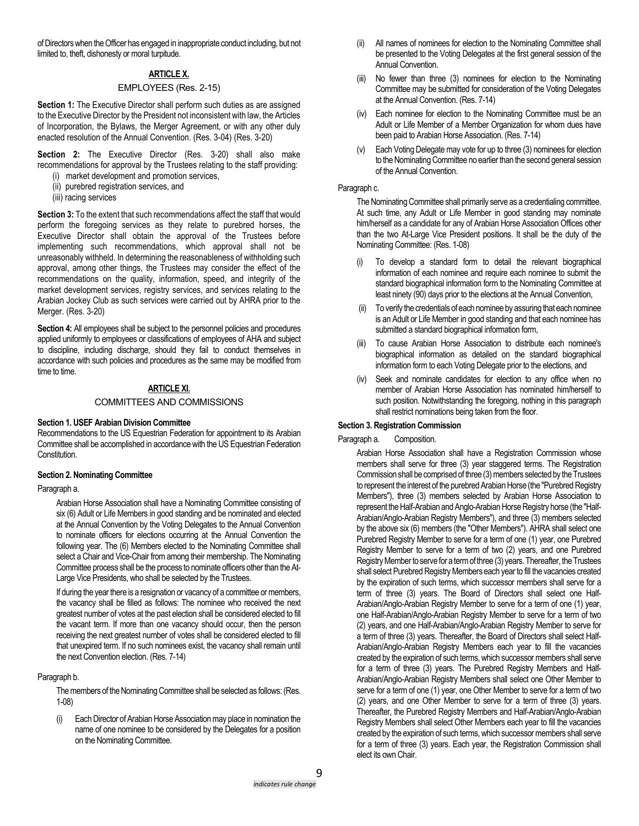of Directors when the Officer has engaged in inappropriate conduct including, but not limited to, theft, dishonesty or moral turpitude.

# **ARTICLE X.**

# EMPLOYEES (Res. 2-15)

**Section 1:** The Executive Director shall perform such duties as are assigned to the Executive Director by the President not inconsistent with law, the Articles of Incorporation, the Bylaws, the Merger Agreement, or with any other duly enacted resolution of the Annual Convention. (Res. 3-04) (Res. 3-20)

**Section 2:** The Executive Director (Res. 3-20) shall also make recommendations for approval by the Trustees relating to the staff providing:

- (i) market development and promotion services,
- (ii) purebred registration services, and
- (iii) racing services

**Section 3:** To the extent that such recommendations affect the staff that would perform the foregoing services as they relate to purebred horses, the Executive Director shall obtain the approval of the Trustees before implementing such recommendations, which approval shall not be unreasonably withheld. In determining the reasonableness of withholding such approval, among other things, the Trustees may consider the effect of the recommendations on the quality, information, speed, and integrity of the market development services, registry services, and services relating to the Arabian Jockey Club as such services were carried out by AHRA prior to the Merger. (Res. 3-20)

**Section 4:** All employees shall be subject to the personnel policies and procedures applied uniformly to employees or classifications of employees of AHA and subject to discipline, including discharge, should they fail to conduct themselves in accordance with such policies and procedures as the same may be modified from time to time.

# **ARTICLE XI.**

# COMMITTEES AND COMMISSIONS

# **Section 1. USEF Arabian Division Committee**

Recommendations to the US Equestrian Federation for appointment to its Arabian Committee shall be accomplished in accordance with the US Equestrian Federation Constitution.

# **Section 2. Nominating Committee**

# Paragraph a.

Arabian Horse Association shall have a Nominating Committee consisting of six (6) Adult or Life Members in good standing and be nominated and elected at the Annual Convention by the Voting Delegates to the Annual Convention to nominate officers for elections occurring at the Annual Convention the following year. The (6) Members elected to the Nominating Committee shall select a Chair and Vice-Chair from among their membership. The Nominating Committee process shall be the process to nominate officers other than the At-Large Vice Presidents, who shall be selected by the Trustees.

If during the year there is a resignation or vacancy of a committee or members, the vacancy shall be filled as follows: The nominee who received the next greatest number of votes at the past election shall be considered elected to fill the vacant term. If more than one vacancy should occur, then the person receiving the next greatest number of votes shall be considered elected to fill that unexpired term. If no such nominees exist, the vacancy shall remain until the next Convention election. (Res. 7-14)

# Paragraph b.

The members of the Nominating Committee shall be selected as follows: (Res. 1-08)

(i) Each Director of Arabian Horse Association may place in nomination the name of one nominee to be considered by the Delegates for a position on the Nominating Committee.

- (ii) All names of nominees for election to the Nominating Committee shall be presented to the Voting Delegates at the first general session of the Annual Convention.
- (iii) No fewer than three (3) nominees for election to the Nominating Committee may be submitted for consideration of the Voting Delegates at the Annual Convention. (Res. 7-14)
- (iv) Each nominee for election to the Nominating Committee must be an Adult or Life Member of a Member Organization for whom dues have been paid to Arabian Horse Association. (Res. 7-14)
- (v) Each Voting Delegate may vote for up to three (3) nominees for election to the Nominating Committee no earlier than the second general session of the Annual Convention.

### Paragraph c.

The Nominating Committee shall primarily serve as a credentialing committee. At such time, any Adult or Life Member in good standing may nominate him/herself as a candidate for any of Arabian Horse Association Offices other than the two At-Large Vice President positions. It shall be the duty of the Nominating Committee: (Res. 1-08)

- (i) To develop a standard form to detail the relevant biographical information of each nominee and require each nominee to submit the standard biographical information form to the Nominating Committee at least ninety (90) days prior to the elections at the Annual Convention,
- To verify the credentials of each nominee by assuring that each nominee is an Adult or Life Member in good standing and that each nominee has submitted a standard biographical information form,
- (iii) To cause Arabian Horse Association to distribute each nominee's biographical information as detailed on the standard biographical information form to each Voting Delegate prior to the elections, and
- (iv) Seek and nominate candidates for election to any office when no member of Arabian Horse Association has nominated him/herself to such position. Notwithstanding the foregoing, nothing in this paragraph shall restrict nominations being taken from the floor.

# **Section 3. Registration Commission**

# Paragraph a. Composition.

Arabian Horse Association shall have a Registration Commission whose members shall serve for three (3) year staggered terms. The Registration Commission shall be comprised of three (3) members selected by the Trustees to represent the interest of the purebred Arabian Horse (the "Purebred Registry Members"), three (3) members selected by Arabian Horse Association to represent the Half-Arabian and Anglo-Arabian Horse Registry horse (the "Half-Arabian/Anglo-Arabian Registry Members"), and three (3) members selected by the above six (6) members (the "Other Members"). AHRA shall select one Purebred Registry Member to serve for a term of one (1) year, one Purebred Registry Member to serve for a term of two (2) years, and one Purebred Registry Member to serve for a term of three (3) years. Thereafter, the Trustees shall select Purebred Registry Members each year to fill the vacancies created by the expiration of such terms, which successor members shall serve for a term of three (3) years. The Board of Directors shall select one Half-Arabian/Anglo-Arabian Registry Member to serve for a term of one (1) year, one Half-Arabian/Anglo-Arabian Registry Member to serve for a term of two (2) years, and one Half-Arabian/Anglo-Arabian Registry Member to serve for a term of three (3) years. Thereafter, the Board of Directors shall select Half-Arabian/Anglo-Arabian Registry Members each year to fill the vacancies created by the expiration of such terms, which successor members shall serve for a term of three (3) years. The Purebred Registry Members and Half-Arabian/Anglo-Arabian Registry Members shall select one Other Member to serve for a term of one (1) year, one Other Member to serve for a term of two (2) years, and one Other Member to serve for a term of three (3) years. Thereafter, the Purebred Registry Members and Half-Arabian/Anglo-Arabian Registry Members shall select Other Members each year to fill the vacancies created by the expiration of such terms, which successor members shall serve for a term of three (3) years. Each year, the Registration Commission shall elect its own Chair.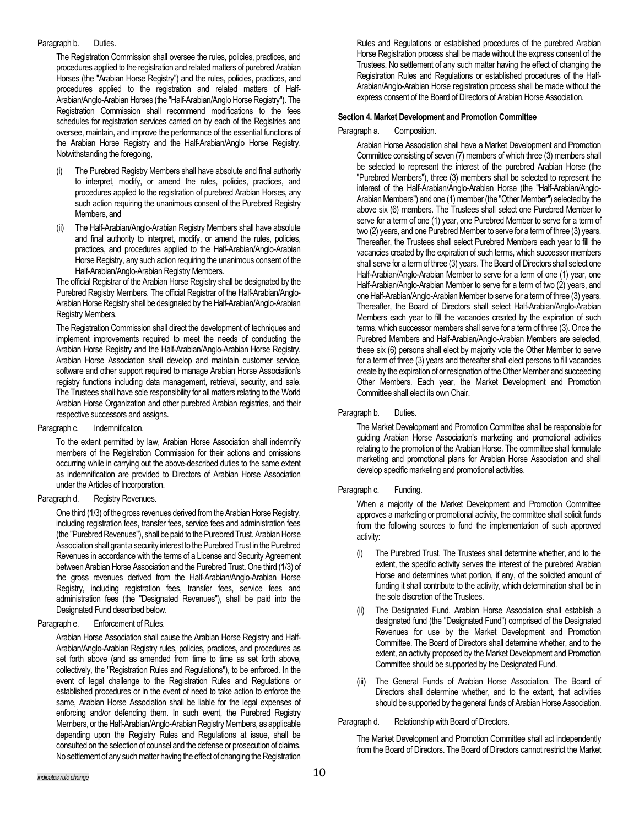### Paragraph b. Duties.

The Registration Commission shall oversee the rules, policies, practices, and procedures applied to the registration and related matters of purebred Arabian Horses (the "Arabian Horse Registry") and the rules, policies, practices, and procedures applied to the registration and related matters of Half-Arabian/Anglo-Arabian Horses (the "Half-Arabian/Anglo Horse Registry"). The Registration Commission shall recommend modifications to the fees schedules for registration services carried on by each of the Registries and oversee, maintain, and improve the performance of the essential functions of the Arabian Horse Registry and the Half-Arabian/Anglo Horse Registry. Notwithstanding the foregoing,

- The Purebred Registry Members shall have absolute and final authority to interpret, modify, or amend the rules, policies, practices, and procedures applied to the registration of purebred Arabian Horses, any such action requiring the unanimous consent of the Purebred Registry Members, and
- (ii) The Half-Arabian/Anglo-Arabian Registry Members shall have absolute and final authority to interpret, modify, or amend the rules, policies, practices, and procedures applied to the Half-Arabian/Anglo-Arabian Horse Registry, any such action requiring the unanimous consent of the Half-Arabian/Anglo-Arabian Registry Members.

The official Registrar of the Arabian Horse Registry shall be designated by the Purebred Registry Members. The official Registrar of the Half-Arabian/Anglo-Arabian Horse Registry shall be designated by the Half-Arabian/Anglo-Arabian Registry Members.

The Registration Commission shall direct the development of techniques and implement improvements required to meet the needs of conducting the Arabian Horse Registry and the Half-Arabian/Anglo-Arabian Horse Registry. Arabian Horse Association shall develop and maintain customer service, software and other support required to manage Arabian Horse Association's registry functions including data management, retrieval, security, and sale. The Trustees shall have sole responsibility for all matters relating to the World Arabian Horse Organization and other purebred Arabian registries, and their respective successors and assigns.

### Paragraph c. Indemnification.

To the extent permitted by law, Arabian Horse Association shall indemnify members of the Registration Commission for their actions and omissions occurring while in carrying out the above-described duties to the same extent as indemnification are provided to Directors of Arabian Horse Association under the Articles of Incorporation.

### Paragraph d. Registry Revenues.

One third (1/3) of the gross revenues derived from the Arabian Horse Registry, including registration fees, transfer fees, service fees and administration fees (the "Purebred Revenues"), shall be paid to the Purebred Trust. Arabian Horse Association shall grant a security interest to the Purebred Trust in the Purebred Revenues in accordance with the terms of a License and Security Agreement between Arabian Horse Association and the Purebred Trust. One third (1/3) of the gross revenues derived from the Half-Arabian/Anglo-Arabian Horse Registry, including registration fees, transfer fees, service fees and administration fees (the "Designated Revenues"), shall be paid into the Designated Fund described below.

### Paragraph e. Enforcement of Rules.

Arabian Horse Association shall cause the Arabian Horse Registry and Half-Arabian/Anglo-Arabian Registry rules, policies, practices, and procedures as set forth above (and as amended from time to time as set forth above, collectively, the "Registration Rules and Regulations"), to be enforced. In the event of legal challenge to the Registration Rules and Regulations or established procedures or in the event of need to take action to enforce the same, Arabian Horse Association shall be liable for the legal expenses of enforcing and/or defending them. In such event, the Purebred Registry Members, or the Half-Arabian/Anglo-Arabian Registry Members, as applicable depending upon the Registry Rules and Regulations at issue, shall be consulted on the selection of counsel and the defense or prosecution of claims. No settlement of any such matter having the effect of changing the Registration Rules and Regulations or established procedures of the purebred Arabian Horse Registration process shall be made without the express consent of the Trustees. No settlement of any such matter having the effect of changing the Registration Rules and Regulations or established procedures of the Half-Arabian/Anglo-Arabian Horse registration process shall be made without the express consent of the Board of Directors of Arabian Horse Association.

# **Section 4. Market Development and Promotion Committee**

### Paragraph a. Composition.

Arabian Horse Association shall have a Market Development and Promotion Committee consisting of seven (7) members of which three (3) members shall be selected to represent the interest of the purebred Arabian Horse (the "Purebred Members"), three (3) members shall be selected to represent the interest of the Half-Arabian/Anglo-Arabian Horse (the "Half-Arabian/Anglo-Arabian Members") and one (1) member (the "Other Member") selected by the above six (6) members. The Trustees shall select one Purebred Member to serve for a term of one (1) year, one Purebred Member to serve for a term of two (2) years, and one Purebred Member to serve for a term of three (3) years. Thereafter, the Trustees shall select Purebred Members each year to fill the vacancies created by the expiration of such terms, which successor members shall serve for a term of three (3) years. The Board of Directors shall select one Half-Arabian/Anglo-Arabian Member to serve for a term of one (1) year, one Half-Arabian/Anglo-Arabian Member to serve for a term of two (2) years, and one Half-Arabian/Anglo-Arabian Member to serve for a term of three (3) years. Thereafter, the Board of Directors shall select Half-Arabian/Anglo-Arabian Members each year to fill the vacancies created by the expiration of such terms, which successor members shall serve for a term of three (3). Once the Purebred Members and Half-Arabian/Anglo-Arabian Members are selected, these six (6) persons shall elect by majority vote the Other Member to serve for a term of three (3) years and thereafter shall elect persons to fill vacancies create by the expiration of or resignation of the Other Member and succeeding Other Members. Each year, the Market Development and Promotion Committee shall elect its own Chair.

# Paragraph b. Duties.

The Market Development and Promotion Committee shall be responsible for guiding Arabian Horse Association's marketing and promotional activities relating to the promotion of the Arabian Horse. The committee shall formulate marketing and promotional plans for Arabian Horse Association and shall develop specific marketing and promotional activities.

# Paragraph c. Funding.

When a majority of the Market Development and Promotion Committee approves a marketing or promotional activity, the committee shall solicit funds from the following sources to fund the implementation of such approved activity:

- The Purebred Trust. The Trustees shall determine whether, and to the extent, the specific activity serves the interest of the purebred Arabian Horse and determines what portion, if any, of the solicited amount of funding it shall contribute to the activity, which determination shall be in the sole discretion of the Trustees.
- The Designated Fund. Arabian Horse Association shall establish a designated fund (the "Designated Fund") comprised of the Designated Revenues for use by the Market Development and Promotion Committee. The Board of Directors shall determine whether, and to the extent, an activity proposed by the Market Development and Promotion Committee should be supported by the Designated Fund.
- (iii) The General Funds of Arabian Horse Association. The Board of Directors shall determine whether, and to the extent, that activities should be supported by the general funds of Arabian Horse Association.

Paragraph d. Relationship with Board of Directors.

The Market Development and Promotion Committee shall act independently from the Board of Directors. The Board of Directors cannot restrict the Market